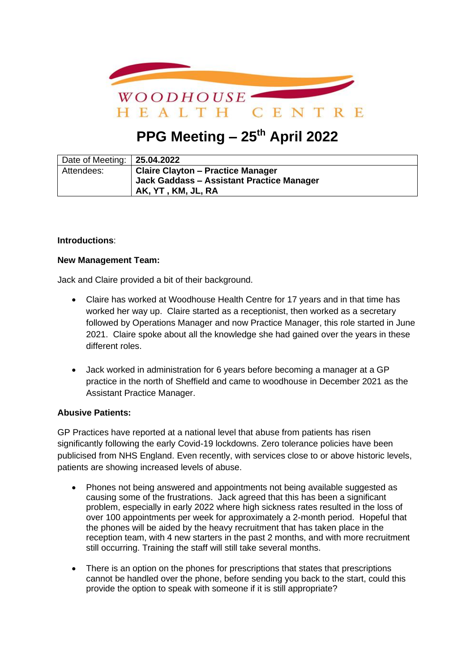

# **PPG Meeting – 25th April 2022**

| Date of Meeting:   25.04.2022 |                                           |
|-------------------------------|-------------------------------------------|
| Attendees:                    | <b>Claire Clayton - Practice Manager</b>  |
|                               | Jack Gaddass - Assistant Practice Manager |
|                               | AK, YT , KM, JL, RA                       |

### **Introductions**:

### **New Management Team:**

Jack and Claire provided a bit of their background.

- Claire has worked at Woodhouse Health Centre for 17 years and in that time has worked her way up. Claire started as a receptionist, then worked as a secretary followed by Operations Manager and now Practice Manager, this role started in June 2021. Claire spoke about all the knowledge she had gained over the years in these different roles.
- Jack worked in administration for 6 years before becoming a manager at a GP practice in the north of Sheffield and came to woodhouse in December 2021 as the Assistant Practice Manager.

# **Abusive Patients:**

GP Practices have reported at a national level that abuse from patients has risen significantly following the early Covid-19 lockdowns. Zero tolerance policies have been publicised from NHS England. Even recently, with services close to or above historic levels, patients are showing increased levels of abuse.

- Phones not being answered and appointments not being available suggested as causing some of the frustrations. Jack agreed that this has been a significant problem, especially in early 2022 where high sickness rates resulted in the loss of over 100 appointments per week for approximately a 2-month period. Hopeful that the phones will be aided by the heavy recruitment that has taken place in the reception team, with 4 new starters in the past 2 months, and with more recruitment still occurring. Training the staff will still take several months.
- There is an option on the phones for prescriptions that states that prescriptions cannot be handled over the phone, before sending you back to the start, could this provide the option to speak with someone if it is still appropriate?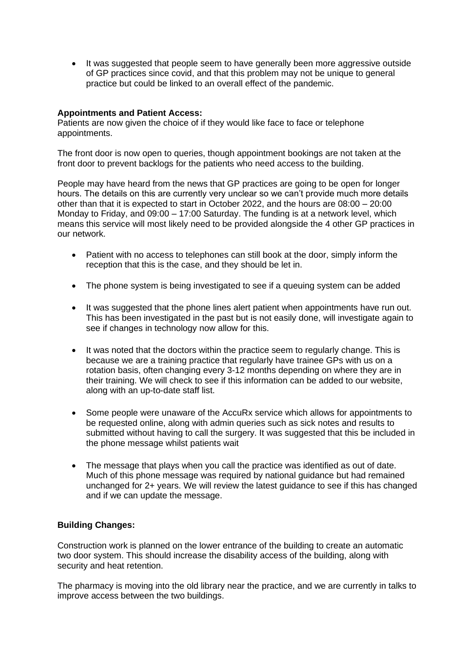• It was suggested that people seem to have generally been more aggressive outside of GP practices since covid, and that this problem may not be unique to general practice but could be linked to an overall effect of the pandemic.

### **Appointments and Patient Access:**

Patients are now given the choice of if they would like face to face or telephone appointments.

The front door is now open to queries, though appointment bookings are not taken at the front door to prevent backlogs for the patients who need access to the building.

People may have heard from the news that GP practices are going to be open for longer hours. The details on this are currently very unclear so we can't provide much more details other than that it is expected to start in October 2022, and the hours are 08:00 – 20:00 Monday to Friday, and 09:00 – 17:00 Saturday. The funding is at a network level, which means this service will most likely need to be provided alongside the 4 other GP practices in our network.

- Patient with no access to telephones can still book at the door, simply inform the reception that this is the case, and they should be let in.
- The phone system is being investigated to see if a queuing system can be added
- It was suggested that the phone lines alert patient when appointments have run out. This has been investigated in the past but is not easily done, will investigate again to see if changes in technology now allow for this.
- It was noted that the doctors within the practice seem to regularly change. This is because we are a training practice that regularly have trainee GPs with us on a rotation basis, often changing every 3-12 months depending on where they are in their training. We will check to see if this information can be added to our website, along with an up-to-date staff list.
- Some people were unaware of the AccuRx service which allows for appointments to be requested online, along with admin queries such as sick notes and results to submitted without having to call the surgery. It was suggested that this be included in the phone message whilst patients wait
- The message that plays when you call the practice was identified as out of date. Much of this phone message was required by national guidance but had remained unchanged for 2+ years. We will review the latest guidance to see if this has changed and if we can update the message.

# **Building Changes:**

Construction work is planned on the lower entrance of the building to create an automatic two door system. This should increase the disability access of the building, along with security and heat retention.

The pharmacy is moving into the old library near the practice, and we are currently in talks to improve access between the two buildings.